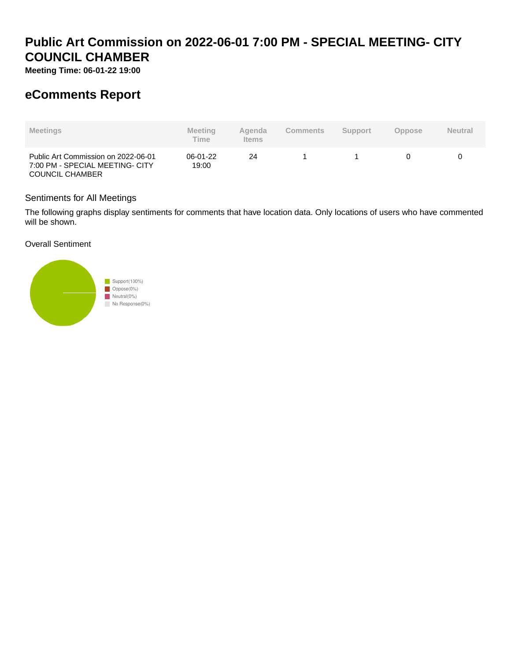# **Public Art Commission on 2022-06-01 7:00 PM - SPECIAL MEETING- CITY COUNCIL CHAMBER**

**Meeting Time: 06-01-22 19:00**

## **eComments Report**

| <b>Meetings</b>                                                                                  | <b>Meeting</b><br><b>Time</b> | Agenda<br><b>Items</b> | <b>Comments</b> | <b>Support</b> | <b>Oppose</b> | <b>Neutral</b> |
|--------------------------------------------------------------------------------------------------|-------------------------------|------------------------|-----------------|----------------|---------------|----------------|
| Public Art Commission on 2022-06-01<br>7:00 PM - SPECIAL MEETING- CITY<br><b>COUNCIL CHAMBER</b> | 06-01-22<br>19:00             | 24                     |                 |                |               |                |

## Sentiments for All Meetings

The following graphs display sentiments for comments that have location data. Only locations of users who have commented will be shown.

## Overall Sentiment

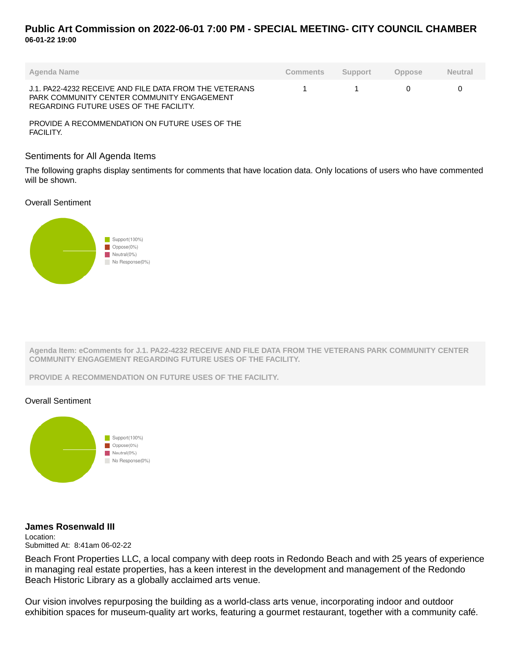## **Public Art Commission on 2022-06-01 7:00 PM - SPECIAL MEETING- CITY COUNCIL CHAMBER 06-01-22 19:00**

| Agenda Name                                                                                                                                    | Comments | Support | Oppose | <b>Neutral</b> |
|------------------------------------------------------------------------------------------------------------------------------------------------|----------|---------|--------|----------------|
| J.1. PA22-4232 RECEIVE AND FILE DATA FROM THE VETERANS<br>PARK COMMUNITY CENTER COMMUNITY ENGAGEMENT<br>REGARDING FUTURE USES OF THE FACILITY. |          |         |        |                |

PROVIDE A RECOMMENDATION ON FUTURE USES OF THE FACILITY.

#### Sentiments for All Agenda Items

The following graphs display sentiments for comments that have location data. Only locations of users who have commented will be shown.

### Overall Sentiment



**Agenda Item: eComments for J.1. PA22-4232 RECEIVE AND FILE DATA FROM THE VETERANS PARK COMMUNITY CENTER COMMUNITY ENGAGEMENT REGARDING FUTURE USES OF THE FACILITY.**

**PROVIDE A RECOMMENDATION ON FUTURE USES OF THE FACILITY.**

## Overall Sentiment



## **James Rosenwald III**

Location: Submitted At: 8:41am 06-02-22

Beach Front Properties LLC, a local company with deep roots in Redondo Beach and with 25 years of experience in managing real estate properties, has a keen interest in the development and management of the Redondo Beach Historic Library as a globally acclaimed arts venue.

Our vision involves repurposing the building as a world-class arts venue, incorporating indoor and outdoor exhibition spaces for museum-quality art works, featuring a gourmet restaurant, together with a community café.